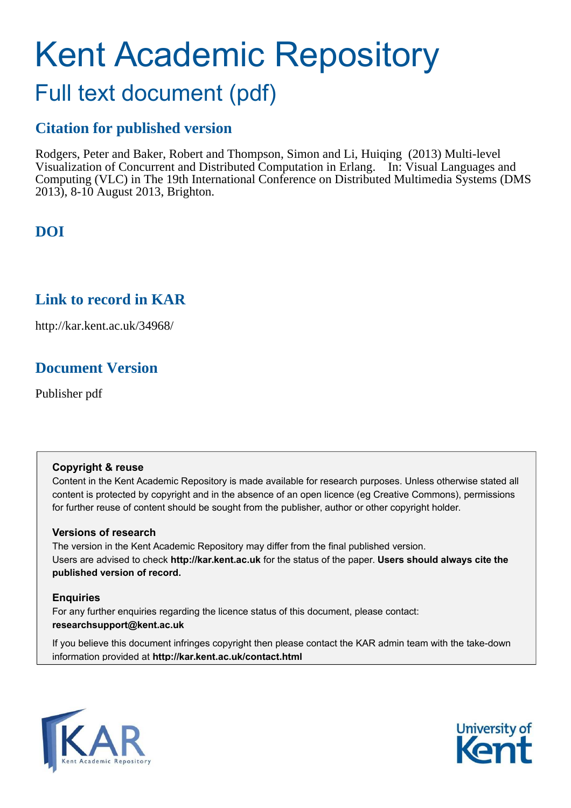# Kent Academic Repository Full text document (pdf)

## **Citation for published version**

Rodgers, Peter and Baker, Robert and Thompson, Simon and Li, Huiqing (2013) Multi-level Visualization of Concurrent and Distributed Computation in Erlang. In: Visual Languages and Computing (VLC) in The 19th International Conference on Distributed Multimedia Systems (DMS 2013), 8-10 August 2013, Brighton.

## **DOI**

## **Link to record in KAR**

http://kar.kent.ac.uk/34968/

## **Document Version**

Publisher pdf

### **Copyright & reuse**

Content in the Kent Academic Repository is made available for research purposes. Unless otherwise stated all content is protected by copyright and in the absence of an open licence (eg Creative Commons), permissions for further reuse of content should be sought from the publisher, author or other copyright holder.

### **Versions of research**

The version in the Kent Academic Repository may differ from the final published version. Users are advised to check **http://kar.kent.ac.uk** for the status of the paper. **Users should always cite the published version of record.**

### **Enquiries**

For any further enquiries regarding the licence status of this document, please contact: **researchsupport@kent.ac.uk**

If you believe this document infringes copyright then please contact the KAR admin team with the take-down information provided at **http://kar.kent.ac.uk/contact.html**



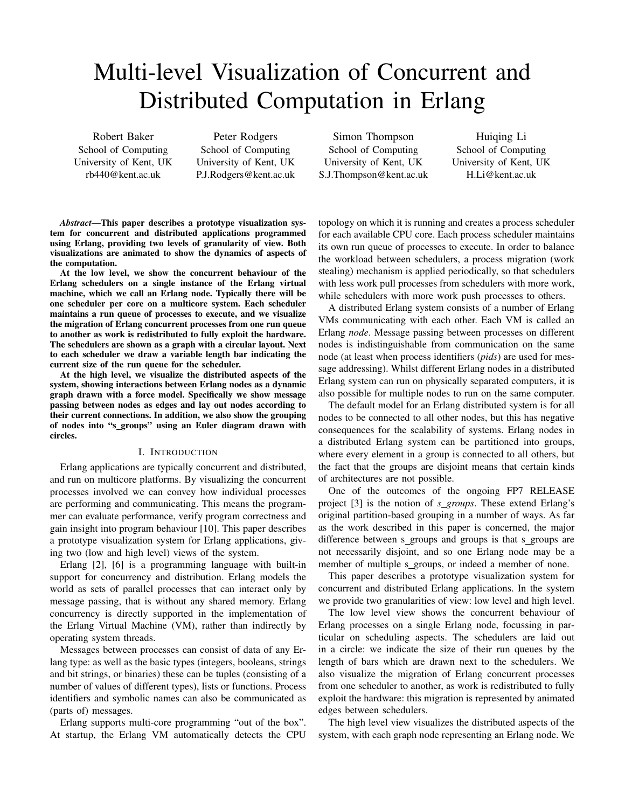## Multi-level Visualization of Concurrent and Distributed Computation in Erlang

Robert Baker School of Computing University of Kent, UK rb440@kent.ac.uk

Peter Rodgers School of Computing University of Kent, UK P.J.Rodgers@kent.ac.uk

Simon Thompson School of Computing University of Kent, UK S.J.Thompson@kent.ac.uk

Huiqing Li School of Computing University of Kent, UK H.Li@kent.ac.uk

*Abstract*—This paper describes a prototype visualization system for concurrent and distributed applications programmed using Erlang, providing two levels of granularity of view. Both visualizations are animated to show the dynamics of aspects of the computation.

At the low level, we show the concurrent behaviour of the Erlang schedulers on a single instance of the Erlang virtual machine, which we call an Erlang node. Typically there will be one scheduler per core on a multicore system. Each scheduler maintains a run queue of processes to execute, and we visualize the migration of Erlang concurrent processes from one run queue to another as work is redistributed to fully exploit the hardware. The schedulers are shown as a graph with a circular layout. Next to each scheduler we draw a variable length bar indicating the current size of the run queue for the scheduler.

At the high level, we visualize the distributed aspects of the system, showing interactions between Erlang nodes as a dynamic graph drawn with a force model. Specifically we show message passing between nodes as edges and lay out nodes according to their current connections. In addition, we also show the grouping of nodes into "s groups" using an Euler diagram drawn with circles.

### I. INTRODUCTION

Erlang applications are typically concurrent and distributed, and run on multicore platforms. By visualizing the concurrent processes involved we can convey how individual processes are performing and communicating. This means the programmer can evaluate performance, verify program correctness and gain insight into program behaviour [10]. This paper describes a prototype visualization system for Erlang applications, giving two (low and high level) views of the system.

Erlang [2], [6] is a programming language with built-in support for concurrency and distribution. Erlang models the world as sets of parallel processes that can interact only by message passing, that is without any shared memory. Erlang concurrency is directly supported in the implementation of the Erlang Virtual Machine (VM), rather than indirectly by operating system threads.

Messages between processes can consist of data of any Erlang type: as well as the basic types (integers, booleans, strings and bit strings, or binaries) these can be tuples (consisting of a number of values of different types), lists or functions. Process identifiers and symbolic names can also be communicated as (parts of) messages.

Erlang supports multi-core programming "out of the box". At startup, the Erlang VM automatically detects the CPU topology on which it is running and creates a process scheduler for each available CPU core. Each process scheduler maintains its own run queue of processes to execute. In order to balance the workload between schedulers, a process migration (work stealing) mechanism is applied periodically, so that schedulers with less work pull processes from schedulers with more work, while schedulers with more work push processes to others.

A distributed Erlang system consists of a number of Erlang VMs communicating with each other. Each VM is called an Erlang *node*. Message passing between processes on different nodes is indistinguishable from communication on the same node (at least when process identifiers (*pids*) are used for message addressing). Whilst different Erlang nodes in a distributed Erlang system can run on physically separated computers, it is also possible for multiple nodes to run on the same computer.

The default model for an Erlang distributed system is for all nodes to be connected to all other nodes, but this has negative consequences for the scalability of systems. Erlang nodes in a distributed Erlang system can be partitioned into groups, where every element in a group is connected to all others, but the fact that the groups are disjoint means that certain kinds of architectures are not possible.

One of the outcomes of the ongoing FP7 RELEASE project [3] is the notion of *s groups*. These extend Erlang's original partition-based grouping in a number of ways. As far as the work described in this paper is concerned, the major difference between s groups and groups is that s groups are not necessarily disjoint, and so one Erlang node may be a member of multiple s\_groups, or indeed a member of none.

This paper describes a prototype visualization system for concurrent and distributed Erlang applications. In the system we provide two granularities of view: low level and high level.

The low level view shows the concurrent behaviour of Erlang processes on a single Erlang node, focussing in particular on scheduling aspects. The schedulers are laid out in a circle: we indicate the size of their run queues by the length of bars which are drawn next to the schedulers. We also visualize the migration of Erlang concurrent processes from one scheduler to another, as work is redistributed to fully exploit the hardware: this migration is represented by animated edges between schedulers.

The high level view visualizes the distributed aspects of the system, with each graph node representing an Erlang node. We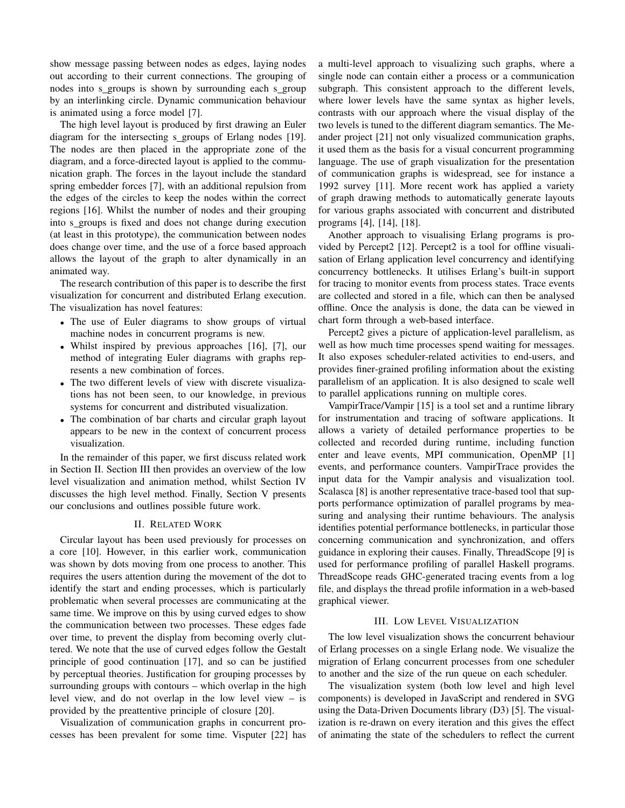show message passing between nodes as edges, laying nodes out according to their current connections. The grouping of nodes into s groups is shown by surrounding each s group by an interlinking circle. Dynamic communication behaviour is animated using a force model [7].

The high level layout is produced by first drawing an Euler diagram for the intersecting s groups of Erlang nodes [19]. The nodes are then placed in the appropriate zone of the diagram, and a force-directed layout is applied to the communication graph. The forces in the layout include the standard spring embedder forces [7], with an additional repulsion from the edges of the circles to keep the nodes within the correct regions [16]. Whilst the number of nodes and their grouping into s\_groups is fixed and does not change during execution (at least in this prototype), the communication between nodes does change over time, and the use of a force based approach allows the layout of the graph to alter dynamically in an animated way.

The research contribution of this paper is to describe the first visualization for concurrent and distributed Erlang execution. The visualization has novel features:

- The use of Euler diagrams to show groups of virtual machine nodes in concurrent programs is new.
- Whilst inspired by previous approaches [16], [7], our method of integrating Euler diagrams with graphs represents a new combination of forces.
- The two different levels of view with discrete visualizations has not been seen, to our knowledge, in previous systems for concurrent and distributed visualization.
- The combination of bar charts and circular graph layout appears to be new in the context of concurrent process visualization.

In the remainder of this paper, we first discuss related work in Section II. Section III then provides an overview of the low level visualization and animation method, whilst Section IV discusses the high level method. Finally, Section V presents our conclusions and outlines possible future work.

### II. RELATED WORK

Circular layout has been used previously for processes on a core [10]. However, in this earlier work, communication was shown by dots moving from one process to another. This requires the users attention during the movement of the dot to identify the start and ending processes, which is particularly problematic when several processes are communicating at the same time. We improve on this by using curved edges to show the communication between two processes. These edges fade over time, to prevent the display from becoming overly cluttered. We note that the use of curved edges follow the Gestalt principle of good continuation [17], and so can be justified by perceptual theories. Justification for grouping processes by surrounding groups with contours – which overlap in the high level view, and do not overlap in the low level view – is provided by the preattentive principle of closure [20].

Visualization of communication graphs in concurrent processes has been prevalent for some time. Visputer [22] has a multi-level approach to visualizing such graphs, where a single node can contain either a process or a communication subgraph. This consistent approach to the different levels, where lower levels have the same syntax as higher levels, contrasts with our approach where the visual display of the two levels is tuned to the different diagram semantics. The Meander project [21] not only visualized communication graphs, it used them as the basis for a visual concurrent programming language. The use of graph visualization for the presentation of communication graphs is widespread, see for instance a 1992 survey [11]. More recent work has applied a variety of graph drawing methods to automatically generate layouts for various graphs associated with concurrent and distributed programs [4], [14], [18].

Another approach to visualising Erlang programs is provided by Percept2 [12]. Percept2 is a tool for offline visualisation of Erlang application level concurrency and identifying concurrency bottlenecks. It utilises Erlang's built-in support for tracing to monitor events from process states. Trace events are collected and stored in a file, which can then be analysed offline. Once the analysis is done, the data can be viewed in chart form through a web-based interface.

Percept2 gives a picture of application-level parallelism, as well as how much time processes spend waiting for messages. It also exposes scheduler-related activities to end-users, and provides finer-grained profiling information about the existing parallelism of an application. It is also designed to scale well to parallel applications running on multiple cores.

VampirTrace/Vampir [15] is a tool set and a runtime library for instrumentation and tracing of software applications. It allows a variety of detailed performance properties to be collected and recorded during runtime, including function enter and leave events, MPI communication, OpenMP [1] events, and performance counters. VampirTrace provides the input data for the Vampir analysis and visualization tool. Scalasca [8] is another representative trace-based tool that supports performance optimization of parallel programs by measuring and analysing their runtime behaviours. The analysis identifies potential performance bottlenecks, in particular those concerning communication and synchronization, and offers guidance in exploring their causes. Finally, ThreadScope [9] is used for performance profiling of parallel Haskell programs. ThreadScope reads GHC-generated tracing events from a log file, and displays the thread profile information in a web-based graphical viewer.

### III. LOW LEVEL VISUALIZATION

The low level visualization shows the concurrent behaviour of Erlang processes on a single Erlang node. We visualize the migration of Erlang concurrent processes from one scheduler to another and the size of the run queue on each scheduler.

The visualization system (both low level and high level components) is developed in JavaScript and rendered in SVG using the Data-Driven Documents library (D3) [5]. The visualization is re-drawn on every iteration and this gives the effect of animating the state of the schedulers to reflect the current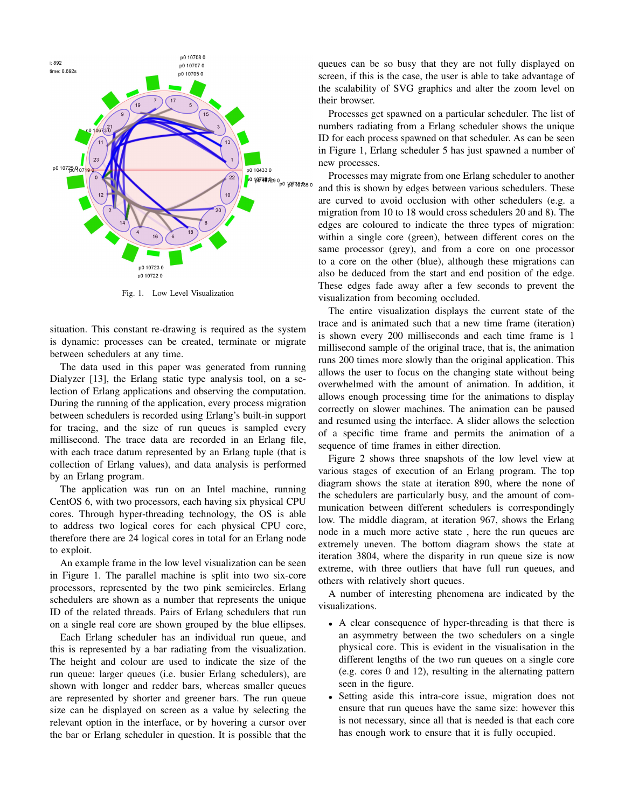

Fig. 1. Low Level Visualization

situation. This constant re-drawing is required as the system is dynamic: processes can be created, terminate or migrate between schedulers at any time.

The data used in this paper was generated from running Dialyzer [13], the Erlang static type analysis tool, on a selection of Erlang applications and observing the computation. During the running of the application, every process migration between schedulers is recorded using Erlang's built-in support for tracing, and the size of run queues is sampled every millisecond. The trace data are recorded in an Erlang file, with each trace datum represented by an Erlang tuple (that is collection of Erlang values), and data analysis is performed by an Erlang program.

The application was run on an Intel machine, running CentOS 6, with two processors, each having six physical CPU cores. Through hyper-threading technology, the OS is able to address two logical cores for each physical CPU core, therefore there are 24 logical cores in total for an Erlang node to exploit.

An example frame in the low level visualization can be seen in Figure 1. The parallel machine is split into two six-core processors, represented by the two pink semicircles. Erlang schedulers are shown as a number that represents the unique ID of the related threads. Pairs of Erlang schedulers that run on a single real core are shown grouped by the blue ellipses.

Each Erlang scheduler has an individual run queue, and this is represented by a bar radiating from the visualization. The height and colour are used to indicate the size of the run queue: larger queues (i.e. busier Erlang schedulers), are shown with longer and redder bars, whereas smaller queues are represented by shorter and greener bars. The run queue size can be displayed on screen as a value by selecting the relevant option in the interface, or by hovering a cursor over the bar or Erlang scheduler in question. It is possible that the queues can be so busy that they are not fully displayed on screen, if this is the case, the user is able to take advantage of the scalability of SVG graphics and alter the zoom level on their browser.

Processes get spawned on a particular scheduler. The list of numbers radiating from a Erlang scheduler shows the unique ID for each process spawned on that scheduler. As can be seen in Figure 1, Erlang scheduler 5 has just spawned a number of new processes.

Processes may migrate from one Erlang scheduler to another and this is shown by edges between various schedulers. These are curved to avoid occlusion with other schedulers (e.g. a migration from 10 to 18 would cross schedulers 20 and 8). The edges are coloured to indicate the three types of migration: within a single core (green), between different cores on the same processor (grey), and from a core on one processor to a core on the other (blue), although these migrations can also be deduced from the start and end position of the edge. These edges fade away after a few seconds to prevent the visualization from becoming occluded.

The entire visualization displays the current state of the trace and is animated such that a new time frame (iteration) is shown every 200 milliseconds and each time frame is 1 millisecond sample of the original trace, that is, the animation runs 200 times more slowly than the original application. This allows the user to focus on the changing state without being overwhelmed with the amount of animation. In addition, it allows enough processing time for the animations to display correctly on slower machines. The animation can be paused and resumed using the interface. A slider allows the selection of a specific time frame and permits the animation of a sequence of time frames in either direction.

Figure 2 shows three snapshots of the low level view at various stages of execution of an Erlang program. The top diagram shows the state at iteration 890, where the none of the schedulers are particularly busy, and the amount of communication between different schedulers is correspondingly low. The middle diagram, at iteration 967, shows the Erlang node in a much more active state , here the run queues are extremely uneven. The bottom diagram shows the state at iteration 3804, where the disparity in run queue size is now extreme, with three outliers that have full run queues, and others with relatively short queues.

A number of interesting phenomena are indicated by the visualizations.

- A clear consequence of hyper-threading is that there is an asymmetry between the two schedulers on a single physical core. This is evident in the visualisation in the different lengths of the two run queues on a single core (e.g. cores 0 and 12), resulting in the alternating pattern seen in the figure.
- Setting aside this intra-core issue, migration does not ensure that run queues have the same size: however this is not necessary, since all that is needed is that each core has enough work to ensure that it is fully occupied.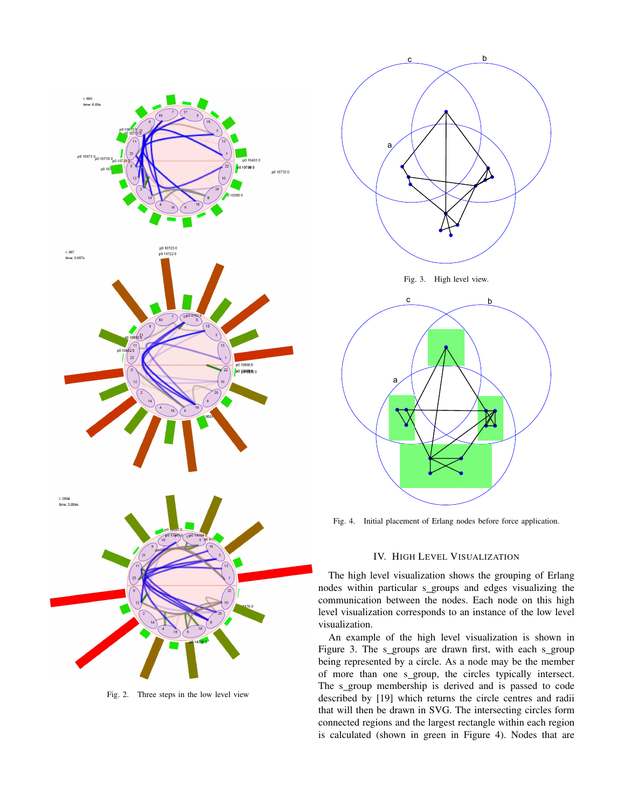

Fig. 2. Three steps in the low level view



Fig. 3. High level view.



Fig. 4. Initial placement of Erlang nodes before force application.

### IV. HIGH LEVEL VISUALIZATION

The high level visualization shows the grouping of Erlang nodes within particular s\_groups and edges visualizing the communication between the nodes. Each node on this high level visualization corresponds to an instance of the low level visualization.

An example of the high level visualization is shown in Figure 3. The s\_groups are drawn first, with each s\_group being represented by a circle. As a node may be the member of more than one s\_group, the circles typically intersect. The s\_group membership is derived and is passed to code described by [19] which returns the circle centres and radii that will then be drawn in SVG. The intersecting circles form connected regions and the largest rectangle within each region is calculated (shown in green in Figure 4). Nodes that are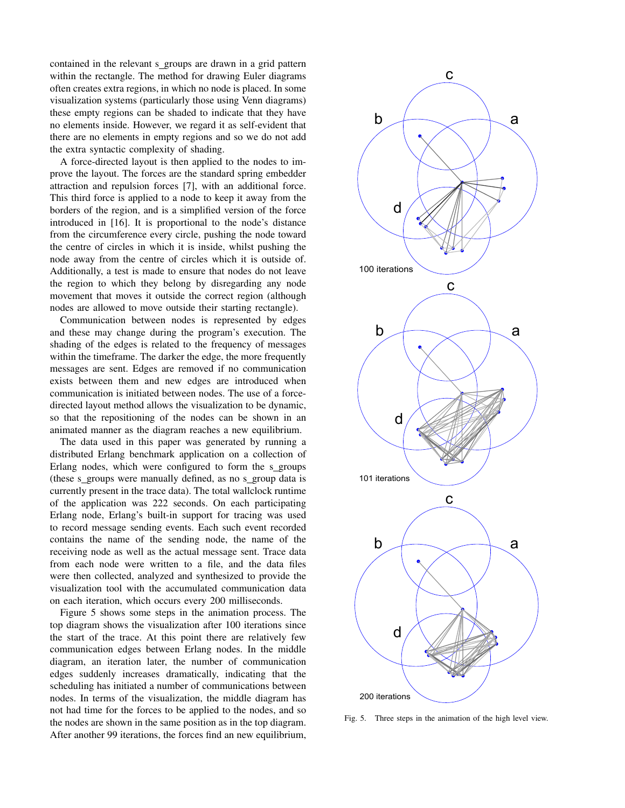contained in the relevant s groups are drawn in a grid pattern within the rectangle. The method for drawing Euler diagrams often creates extra regions, in which no node is placed. In some visualization systems (particularly those using Venn diagrams) these empty regions can be shaded to indicate that they have no elements inside. However, we regard it as self-evident that there are no elements in empty regions and so we do not add the extra syntactic complexity of shading.

A force-directed layout is then applied to the nodes to improve the layout. The forces are the standard spring embedder attraction and repulsion forces [7], with an additional force. This third force is applied to a node to keep it away from the borders of the region, and is a simplified version of the force introduced in [16]. It is proportional to the node's distance from the circumference every circle, pushing the node toward the centre of circles in which it is inside, whilst pushing the node away from the centre of circles which it is outside of. Additionally, a test is made to ensure that nodes do not leave the region to which they belong by disregarding any node movement that moves it outside the correct region (although nodes are allowed to move outside their starting rectangle).

Communication between nodes is represented by edges and these may change during the program's execution. The shading of the edges is related to the frequency of messages within the timeframe. The darker the edge, the more frequently messages are sent. Edges are removed if no communication exists between them and new edges are introduced when communication is initiated between nodes. The use of a forcedirected layout method allows the visualization to be dynamic, so that the repositioning of the nodes can be shown in an animated manner as the diagram reaches a new equilibrium.

The data used in this paper was generated by running a distributed Erlang benchmark application on a collection of Erlang nodes, which were configured to form the s groups (these s groups were manually defined, as no s group data is currently present in the trace data). The total wallclock runtime of the application was 222 seconds. On each participating Erlang node, Erlang's built-in support for tracing was used to record message sending events. Each such event recorded contains the name of the sending node, the name of the receiving node as well as the actual message sent. Trace data from each node were written to a file, and the data files were then collected, analyzed and synthesized to provide the visualization tool with the accumulated communication data on each iteration, which occurs every 200 milliseconds.

Figure 5 shows some steps in the animation process. The top diagram shows the visualization after 100 iterations since the start of the trace. At this point there are relatively few communication edges between Erlang nodes. In the middle diagram, an iteration later, the number of communication edges suddenly increases dramatically, indicating that the scheduling has initiated a number of communications between nodes. In terms of the visualization, the middle diagram has not had time for the forces to be applied to the nodes, and so the nodes are shown in the same position as in the top diagram. After another 99 iterations, the forces find an new equilibrium,



Fig. 5. Three steps in the animation of the high level view.